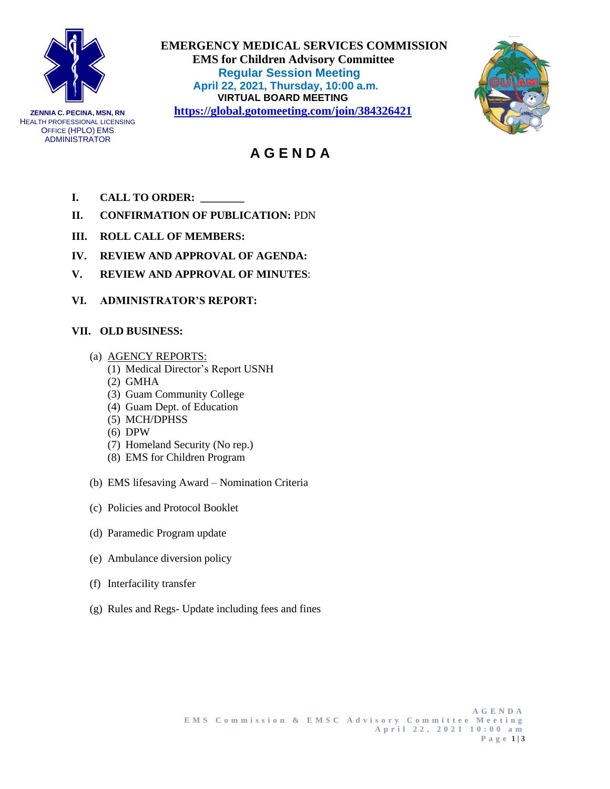

**ZENNIA C. PECINA, MSN, RN** HEALTH PROFESSIONAL LICENSING OFFICE (HPLO) EMS ADMINISTRATOR

 **EMERGENCY MEDICAL SERVICES COMMISSION EMS for Children Advisory Committee Regular Session Meeting April 22, 2021, Thursday, 10:00 a.m. VIRTUAL BOARD MEETING <https://global.gotomeeting.com/join/384326421>**



# **A G E N D A**

- **I. CALL TO ORDER: \_\_\_\_\_\_\_\_**
- **II. CONFIRMATION OF PUBLICATION:** PDN
- **III. ROLL CALL OF MEMBERS:**
- **IV. REVIEW AND APPROVAL OF AGENDA:**
- **V. REVIEW AND APPROVAL OF MINUTES**:
- **VI. ADMINISTRATOR'S REPORT:**

## **VII. OLD BUSINESS:**

- (a) AGENCY REPORTS:
	- (1) Medical Director's Report USNH
	- (2) GMHA
	- (3) Guam Community College
	- (4) Guam Dept. of Education
	- (5) MCH/DPHSS
	- (6) DPW
	- (7) Homeland Security (No rep.)
	- (8) EMS for Children Program
- (b) EMS lifesaving Award Nomination Criteria
- (c) Policies and Protocol Booklet
- (d) Paramedic Program update
- (e) Ambulance diversion policy
- (f) Interfacility transfer
- (g) Rules and Regs- Update including fees and fines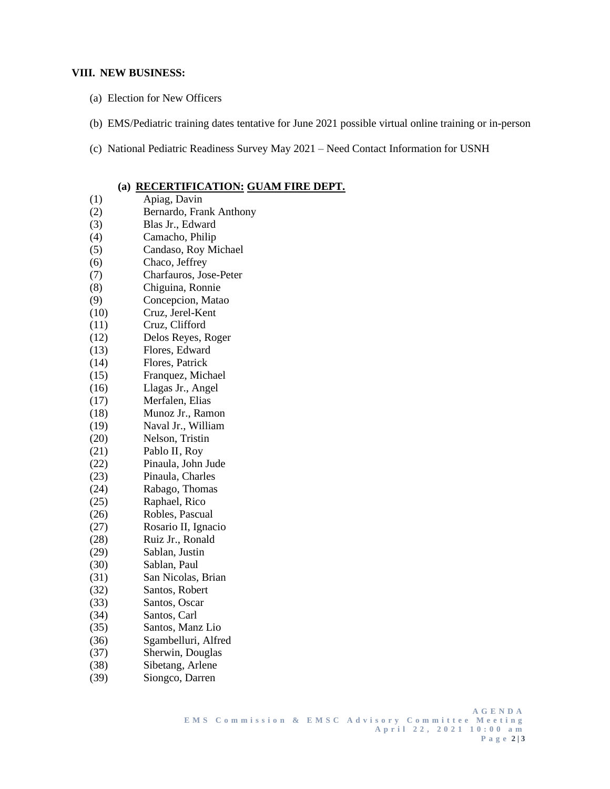#### **VIII. NEW BUSINESS:**

- (a) Election for New Officers
- (b) EMS/Pediatric training dates tentative for June 2021 possible virtual online training or in-person
- (c) National Pediatric Readiness Survey May 2021 Need Contact Information for USNH

### **(a) RECERTIFICATION: GUAM FIRE DEPT.**

- (1) Apiag, Davin (2) Bernardo, Frank Anthony (3) Blas Jr., Edward (4) Camacho, Philip (5) Candaso, Roy Michael (6) Chaco, Jeffrey (7) Charfauros, Jose-Peter (8) Chiguina, Ronnie (9) Concepcion, Matao (10) Cruz, Jerel-Kent (11) Cruz, Clifford (12) Delos Reyes, Roger (13) Flores, Edward (14) Flores, Patrick (15) Franquez, Michael (16) Llagas Jr., Angel (17) Merfalen, Elias (18) Munoz Jr., Ramon (19) Naval Jr., William (20) Nelson, Tristin (21) Pablo II, Roy (22) Pinaula, John Jude (23) Pinaula, Charles (24) Rabago, Thomas (25) Raphael, Rico (26) Robles, Pascual (27) Rosario II, Ignacio (28) Ruiz Jr., Ronald (29) Sablan, Justin (30) Sablan, Paul (31) San Nicolas, Brian (32) Santos, Robert (33) Santos, Oscar (34) Santos, Carl (35) Santos, Manz Lio (36) Sgambelluri, Alfred (37) Sherwin, Douglas (38) Sibetang, Arlene (39) Siongco, Darren
	- **A G E N D A E M S C o m m i s s i o n & E M S C A d v i s o r y C o m m i t t e e M e e t i n g A p r i l 2 2 , 2 0 2 1 1 0 : 0 0 a m P a g e 2 | 3**